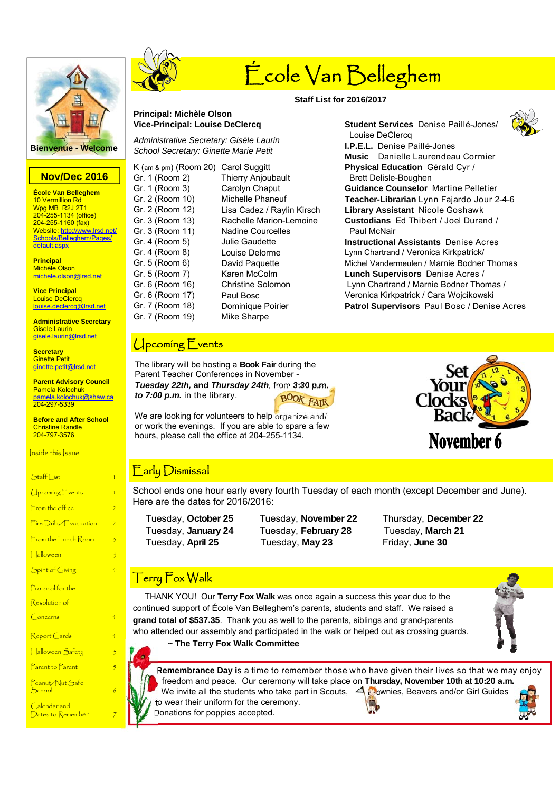

# **Nov/Dec 2016**

**École Van Belleghem**  10 Vermillion Rd Wpg MB R2J 2T1 204-255-1134 (office) 204-255-1160 (fax) Website: http://www.lrsd.net/ Schools/Belleghem/Pages/ default.aspx

**Principal**  Michèle Olson michele.olson@lrsd.net

**Vice Principal**  Louise DeClercq louise.declercq@lrsd.net

**Administrative Secretary**  Gisele Laurin gisele.laurin@lrsd.net

**Secretary Ginette Petit** ginette.petit@lrsd.net

**Parent Advisory Council**  Pamela Kolochuk pamela.kolochuk@shaw.ca 204-297-5339

**Before and After School**  Christine Randle 204-797-3576

Inside this Issue

 $\sqrt{10}$ coming  $\sqrt{2}$  vents 1  $F$ rom the office  $2$ 

 $Fire$  Drills/ $$$  vacuation  $\qquad$  2

 $From the  $l$  such  $Room = 3$$ 

Halloween

Spirit of Giving

Protocol for the

Resolution of

 $Concerns$ 

 $Re$ port  $Cards$ 

Halloween Safety

Parent to Parent

Peanut/Nut Safe  $S<sub>chool</sub>$ 

Calendar and Dates to Remember



# École Van Belleghem

# **Staff List for 2016/2017**

# **Principal: Michèle Olson Vice-Principal: Louise DeClercq**

*Administrative Secretary: Gisèle Laurin School Secretary: Ginette Marie Petit*

| K (am & pm) (Room 20) | <b>Carol Suggitt</b>       |
|-----------------------|----------------------------|
| Gr. 1 (Room 2)        | <b>Thierry Anjoubault</b>  |
| Gr. 1 (Room 3)        | Carolyn Chaput             |
| Gr. 2 (Room 10)       | Michelle Phaneuf           |
| Gr. 2 (Room 12)       | Lisa Cadez / Raylin Kirsch |
| Gr. 3 (Room 13)       | Rachelle Marion-Lemoine    |
| Gr. 3 (Room 11)       | <b>Nadine Courcelles</b>   |
| Gr. 4 (Room 5)        | Julie Gaudette             |
| Gr. 4 (Room 8)        | Louise Delorme             |
| Gr. 5 (Room 6)        | David Paquette             |
| Gr. 5 (Room 7)        | Karen McColm               |
| Gr. 6 (Room 16)       | Christine Solomon          |
| Gr. 6 (Room 17)       | Paul Bosc                  |
| Gr. 7 (Room 18)       | Dominique Poirier          |
| Gr. 7 (Room 19)       | Mike Sharpe                |
|                       |                            |

# Upcoming Events

The library will be hosting a **Book Fair** during the Parent Teacher Conferences in November - *Tuesday 22th,* **and** *Thursday 24th,* from *3:30 p.m. to 7:00 p.m.* in the library. **BOOK FATI** 

We are looking for volunteers to help organize and/ or work the evenings. If you are able to spare a few hours, please call the office at 204-255-1134.



# Early Dismissal

School ends one hour early every fourth Tuesday of each month (except December and June). Here are the dates for 2016/2016:

 Tuesday, **January 24** Tuesday, **February 28** Tuesday, **March 21**  Tuesday, **April 25** Tuesday, **May 23** Friday, **June 30**

Tuesday, **October 25** Tuesday, **November 22** Thursday, **December 22**

# Terry Fox Walk

 THANK YOU! Our **Terry Fox Walk** was once again a success this year due to the continued support of École Van Belleghem's parents, students and staff. We raised a **grand total of \$537.35**. Thank you as well to the parents, siblings and grand-parents who attended our assembly and participated in the walk or helped out as crossing guards.



~ **The Terry Fox Walk Committee** 

**Remembrance Day i**s a time to remember those who have given their lives so that we may enjoy freedom and peace. Our ceremony will take place on **Thursday, November 10th at 10:20 a.m.**  We invite all the students who take part in Scouts,  $\Box$  Cownies, Beavers and/or Girl Guides to wear their uniform for the ceremony. Donations for poppies accepted.



**Music** Danielle Laurendeau Cormier **Physical Education** Gérald Cyr / Brett Delisle-Boughen **Guidance Counselor** Martine Pelletier **Teacher-Librarian** Lynn Fajardo Jour 2-4-6 **Library Assistant** Nicole Goshawk **Custodians** Ed Thibert / Joel Durand / Paul McNair **Instructional Assistants** Denise Acres Lynn Chartrand / Veronica Kirkpatrick/ Michel Vandermeulen / Marnie Bodner Thomas **Lunch Supervisors** Denise Acres /

**Student Services** Denise Paillé-Jones/

Louise DeClercq

**I.P.E.L.** Denise Paillé-Jones

 Lynn Chartrand / Marnie Bodner Thomas / Veronica Kirkpatrick / Cara Wojcikowski **Patrol Supervisors** Paul Bosc / Denise Acres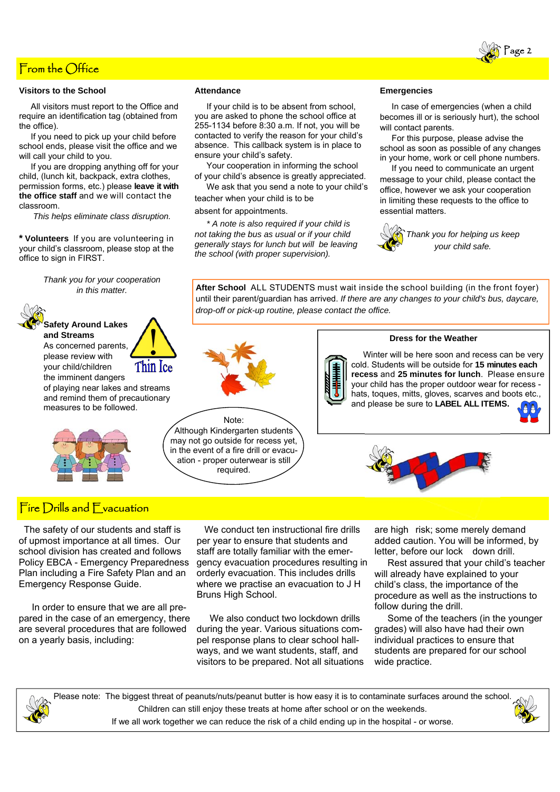

### **Visitors to the School**

 All visitors must report to the Office and require an identification tag (obtained from the office).

 If you need to pick up your child before school ends, please visit the office and we will call your child to you.

 If you are dropping anything off for your child, (lunch kit, backpack, extra clothes, permission forms, etc.) please **leave it with the office staff** and we will contact the classroom.

*This helps eliminate class disruption.*

**\* Volunteers** If you are volunteering in your child's classroom, please stop at the office to sign in FIRST.

> *Thank you for your cooperation in this matter.*



**Safety Around Lakes and Streams** 

As concerned parents, please review with your child/children the imminent dangers

of playing near lakes and streams and remind them of precautionary measures to be followed.



# Fire Drills and **F** vacuation

 The safety of our students and staff is of upmost importance at all times. Our school division has created and follows Policy EBCA - Emergency Preparedness Plan including a Fire Safety Plan and an Emergency Response Guide.

 In order to ensure that we are all prepared in the case of an emergency, there are several procedures that are followed on a yearly basis, including:

### **Attendance**

 If your child is to be absent from school, you are asked to phone the school office at 255-1134 before 8:30 a.m. If not, you will be contacted to verify the reason for your child's absence. This callback system is in place to ensure your child's safety.

 Your cooperation in informing the school of your child's absence is greatly appreciated.

 We ask that you send a note to your child's teacher when your child is to be

absent for appointments.

 *\* A note is also required if your child is not taking the bus as usual or if your child generally stays for lunch but will be leaving the school (with proper supervision).* 

### **Emergencies**

 In case of emergencies (when a child becomes ill or is seriously hurt), the school will contact parents.

 For this purpose, please advise the school as soon as possible of any changes in your home, work or cell phone numbers.

 If you need to communicate an urgent message to your child, please contact the office, however we ask your cooperation in limiting these requests to the office to essential matters.



*Thank you for helping us keep your child safe.*

**After School** ALL STUDENTS must wait inside the school building (in the front foyer) until their parent/guardian has arrived. *If there are any changes to your child's bus, daycare, drop-off or pick-up routine, please contact the office.* 

### **Dress for the Weather**

 Winter will be here soon and recess can be very cold. Students will be outside for **15 minutes each recess** and **25 minutes for lunch**. Please ensure your child has the proper outdoor wear for recess hats, toques, mitts, gloves, scarves and boots etc., and please be sure to **LABEL ALL ITEMS.**  A a

Note: Although Kindergarten students may not go outside for recess yet, in the event of a fire drill or evacuation - proper outerwear is still required.



 We conduct ten instructional fire drills per year to ensure that students and staff are totally familiar with the emergency evacuation procedures resulting in orderly evacuation. This includes drills where we practise an evacuation to J H Bruns High School.

We also conduct two lockdown drills during the year. Various situations compel response plans to clear school hallways, and we want students, staff, and visitors to be prepared. Not all situations are high risk; some merely demand added caution. You will be informed, by letter, before our lock down drill.

 Rest assured that your child's teacher will already have explained to your child's class, the importance of the procedure as well as the instructions to follow during the drill.

 Some of the teachers (in the younger grades) will also have had their own individual practices to ensure that students are prepared for our school wide practice.

Please note: The biggest threat of peanuts/nuts/peanut butter is how easy it is to contaminate surfaces around the school. Children can still enjoy these treats at home after school or on the weekends. If we all work together we can reduce the risk of a child ending up in the hospital - or worse.









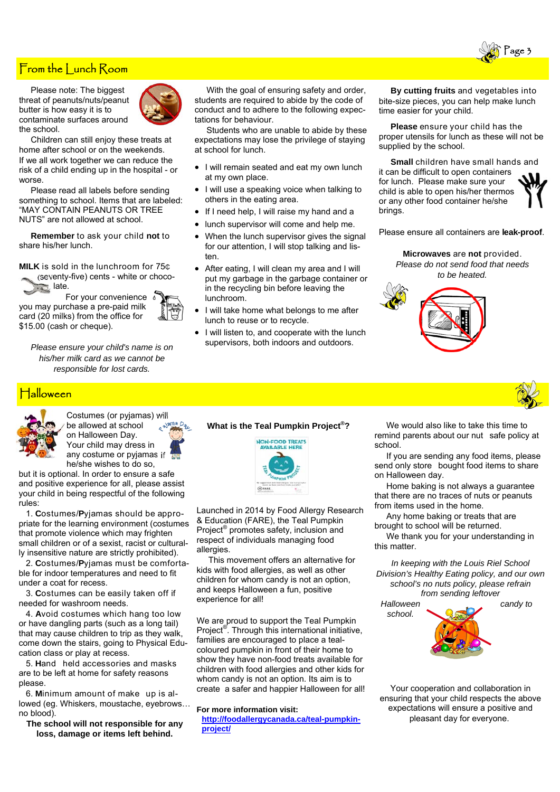

# From the Lunch Room

 Please note: The biggest threat of peanuts/nuts/peanut butter is how easy it is to contaminate surfaces around the school.



 Children can still enjoy these treats at home after school or on the weekends. If we all work together we can reduce the risk of a child ending up in the hospital - or worse.

 Please read all labels before sending something to school. Items that are labeled: "MAY CONTAIN PEANUTS OR TREE NUTS" are not allowed at school.

 **Remember** to ask your child **not** to share his/her lunch.

**MILK** is sold in the lunchroom for 75₵ (seventy-five) cents - white or chocolate.

For your convenience  $\frac{1}{2}$ you may purchase a pre-paid milk card (20 milks) from the office for \$15.00 (cash or cheque).



*Please ensure your child's name is on his/her milk card as we cannot be responsible for lost cards.* 

# Halloween



Costumes (or pyjamas) will be allowed at school on Halloween Day. Your child may dress in any costume or pyjamas if

he/she wishes to do so, but it is optional. In order to ensure a safe and positive experience for all, please assist your child in being respectful of the following rules:

 1. **C**ostumes/**P**yjamas should be appropriate for the learning environment (costumes that promote violence which may frighten small children or of a sexist, racist or culturally insensitive nature are strictly prohibited).

 2. **C**ostumes/**P**yjamas must be comfortable for indoor temperatures and need to fit under a coat for recess.

 3. **C**ostumes can be easily taken off if needed for washroom needs.

 4. **A**void costumes which hang too low or have dangling parts (such as a long tail) that may cause children to trip as they walk, come down the stairs, going to Physical Education class or play at recess.

 5. **H**andheld accessories and masks are to be left at home for safety reasons please.

6. Minimum amount of make up is allowed (eg. Whiskers, moustache, eyebrows… no blood).

**The school will not responsible for any loss, damage or items left behind.** 

 With the goal of ensuring safety and order, students are required to abide by the code of conduct and to adhere to the following expectations for behaviour.

 Students who are unable to abide by these expectations may lose the privilege of staying at school for lunch.

- I will remain seated and eat my own lunch at my own place.
- I will use a speaking voice when talking to others in the eating area.
- If I need help, I will raise my hand and a
- lunch supervisor will come and help me.
- When the lunch supervisor gives the signal for our attention, I will stop talking and listen.
- After eating, I will clean my area and I will put my garbage in the garbage container or in the recycling bin before leaving the lunchroom.
- I will take home what belongs to me after lunch to reuse or to recycle.
- I will listen to, and cooperate with the lunch supervisors, both indoors and outdoors.

 **By cutting fruits** and vegetables into bite-size pieces, you can help make lunch time easier for your child.

 **Please** ensure your child has the proper utensils for lunch as these will not be supplied by the school.

 **Small** children have small hands and it can be difficult to open containers for lunch. Please make sure your child is able to open his/her thermos or any other food container he/she brings.



Please ensure all containers are **leak-proof**.

**Microwaves** are **not** provided. *Please do not send food that needs to be heated.* 





# **What is the Teal Pumpkin Project®?**



Launched in 2014 by Food Allergy Research & Education (FARE), the Teal Pumpkin Project® promotes safety, inclusion and respect of individuals managing food allergies.

 This movement offers an alternative for kids with food allergies, as well as other children for whom candy is not an option, and keeps Halloween a fun, positive experience for all!

We are proud to support the Teal Pumpkin Project<sup>®</sup>. Through this international initiative, families are encouraged to place a tealcoloured pumpkin in front of their home to show they have non-food treats available for children with food allergies and other kids for whom candy is not an option. Its aim is to create a safer and happier Halloween for all!

### **For more information visit:**

**http://foodallergycanada.ca/teal-pumpkinproject/**

 We would also like to take this time to remind parents about our nut safe policy at school.

 If you are sending any food items, please send only store bought food items to share on Halloween day.

 Home baking is not always a guarantee that there are no traces of nuts or peanuts from items used in the home.

 Any home baking or treats that are brought to school will be returned.

 We thank you for your understanding in this matter.

*In keeping with the Louis Riel School Division's Healthy Eating policy, and our own school's no nuts policy, please refrain from sending leftover* 



Your cooperation and collaboration in ensuring that your child respects the above expectations will ensure a positive and pleasant day for everyone.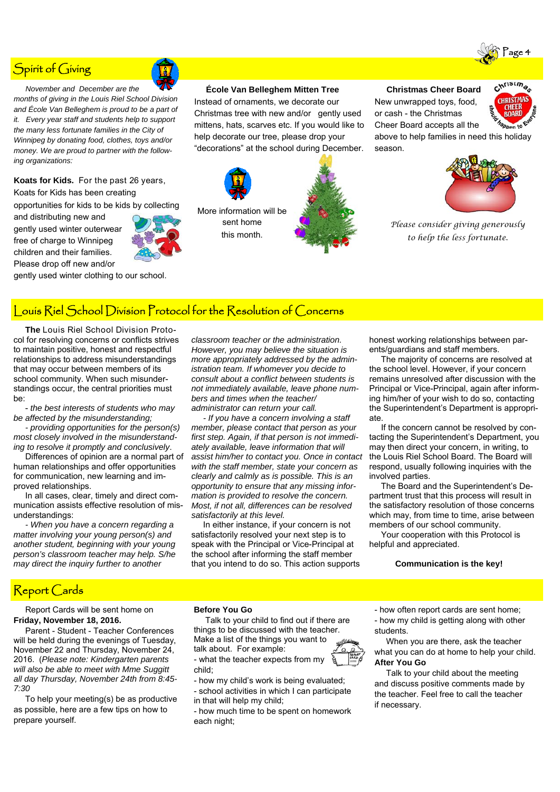# Spirit of Giving

 *November and December are the months of giving in the Louis Riel School Division and École Van Belleghem is proud to be a part of it. Every year staff and students help to support the many less fortunate families in the City of Winnipeg by donating food, clothes, toys and/or money. We are proud to partner with the following organizations:*

**Koats for Kids.** For the past 26 years, Koats for Kids has been creating

and distributing new and gently used winter outerwear free of charge to Winnipeg children and their families. Please drop off new and/or

opportunities for kids to be kids by collecting

gently used winter clothing to our school.

# **École Van Belleghem Mitten Tree**

Instead of ornaments, we decorate our Christmas tree with new and/or gently used mittens, hats, scarves etc. If you would like to help decorate our tree, please drop your "decorations" at the school during December.





New unwrapped toys, food, or cash - the Christmas Cheer Board accepts all the



above to help families in need this holiday season.



*Please consider giving generously to help the less fortunate.* 

# Louis Riel School Division Protocol for the Resolution of Concerns

 **The** Louis Riel School Division Protocol for resolving concerns or conflicts strives to maintain positive, honest and respectful relationships to address misunderstandings that may occur between members of its school community. When such misunderstandings occur, the central priorities must be:

 - *the best interests of students who may be affected by the misunderstanding;* 

 *- providing opportunities for the person(s) most closely involved in the misunderstanding to resolve it promptly and conclusively*.

 Differences of opinion are a normal part of human relationships and offer opportunities for communication, new learning and improved relationships.

 In all cases, clear, timely and direct communication assists effective resolution of misunderstandings:

 *- When you have a concern regarding a matter involving your young person(s) and another student, beginning with your young person's classroom teacher may help. S/he may direct the inquiry further to another* 

*classroom teacher or the administration. However, you may believe the situation is more appropriately addressed by the administration team. If whomever you decide to consult about a conflict between students is not immediately available, leave phone numbers and times when the teacher/ administrator can return your call.* 

 *- If you have a concern involving a staff member, please contact that person as your first step. Again, if that person is not immediately available, leave information that will assist him/her to contact you. Once in contact with the staff member, state your concern as clearly and calmly as is possible. This is an opportunity to ensure that any missing information is provided to resolve the concern. Most, if not all, differences can be resolved satisfactorily at this level.* 

 In either instance, if your concern is not satisfactorily resolved your next step is to speak with the Principal or Vice-Principal at the school after informing the staff member that you intend to do so. This action supports

honest working relationships between parents/guardians and staff members.

 The majority of concerns are resolved at the school level. However, if your concern remains unresolved after discussion with the Principal or Vice-Principal, again after informing him/her of your wish to do so, contacting the Superintendent's Department is appropriate.

 If the concern cannot be resolved by contacting the Superintendent's Department, you may then direct your concern, in writing, to the Louis Riel School Board. The Board will respond, usually following inquiries with the involved parties.

 The Board and the Superintendent's Department trust that this process will result in the satisfactory resolution of those concerns which may, from time to time, arise between members of our school community.

 Your cooperation with this Protocol is helpful and appreciated.

#### **Communication is the key!**

# Report Cards

 Report Cards will be sent home on **Friday, November 18, 2016.** 

 Parent - Student - Teacher Conferences will be held during the evenings of Tuesday, November 22 and Thursday, November 24, 2016. (*Please note: Kindergarten parents will also be able to meet with Mme Suggitt all day Thursday, November 24th from 8:45- 7:30* 

 To help your meeting(s) be as productive as possible, here are a few tips on how to prepare yourself.

#### **Before You Go**

 Talk to your child to find out if there are things to be discussed with the teacher. Make a list of the things you want to

talk about. For example:

- what the teacher expects from my child;

- how my child's work is being evaluated;

- school activities in which I can participate in that will help my child;

- how much time to be spent on homework each night;

- how often report cards are sent home;

- how my child is getting along with other students.

 When you are there, ask the teacher what you can do at home to help your child. **After You Go**

 Talk to your child about the meeting and discuss positive comments made by the teacher. Feel free to call the teacher if necessary.





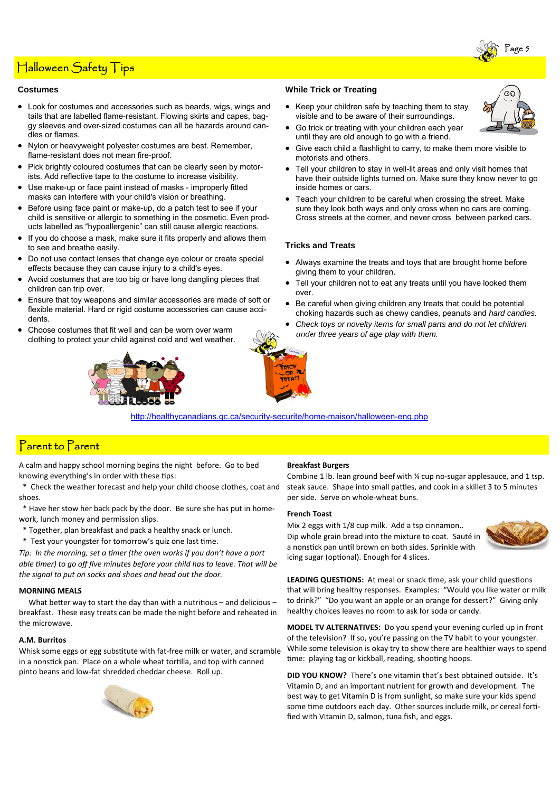# Halloween Safety Tips

#### **Costumes**

- Look for costumes and accessories such as beards, wigs, wings and tails that are labelled flame-resistant. Flowing skirts and capes, baggy sleeves and over-sized costumes can all be hazards around candles or flames.
- Nylon or heavyweight polyester costumes are best. Remember, flame-resistant does not mean fire-proof.
- Pick brightly coloured costumes that can be clearly seen by motorists. Add reflective tape to the costume to increase visibility.
- Use make-up or face paint instead of masks improperly fitted masks can interfere with your child's vision or breathing.
- Before using face paint or make-up, do a patch test to see if your child is sensitive or allergic to something in the cosmetic. Even products labelled as "hypoallergenic" can still cause allergic reactions.
- If you do choose a mask, make sure it fits properly and allows them to see and breathe easily.
- Do not use contact lenses that change eye colour or create special effects because they can cause injury to a child's eyes.
- Avoid costumes that are too big or have long dangling pieces that children can trip over.
- Ensure that toy weapons and similar accessories are made of soft or flexible material. Hard or rigid costume accessories can cause accidents.
- Choose costumes that fit well and can be worn over warm clothing to protect your child against cold and wet weather.





• Keep your children safe by teaching them to stay visible and to be aware of their surroundings.



- Go trick or treating with your children each year until they are old enough to go with a friend.
- Give each child a flashlight to carry, to make them more visible to motorists and others.
- Tell your children to stay in well-lit areas and only visit homes that have their outside lights turned on. Make sure they know never to go inside homes or cars.
- Teach your children to be careful when crossing the street. Make sure they look both ways and only cross when no cars are coming. Cross streets at the corner, and never cross between parked cars.

### **Tricks and Treats**

- Always examine the treats and toys that are brought home before giving them to your children.
- Tell your children not to eat any treats until you have looked them over.
- Be careful when giving children any treats that could be potential choking hazards such as chewy candies, peanuts and *hard candies.*
- *Check toys or novelty items for small parts and do not let children under three years of age play with them.*

http://healthycanadians.gc.ca/security-securite/home-maison/halloween-eng.php

# Parent to Parent

A calm and happy school morning begins the night before. Go to bed knowing everything's in order with these tips:

- \* Check the weather forecast and help your child choose clothes, coat and shoes.
- \* Have her stow her back pack by the door. Be sure she has put in homework, lunch money and permission slips.
- \* Together, plan breakfast and pack a healthy snack or lunch.
- \* Test your youngster for tomorrow's quiz one last time.

*Tip: In the morning, set a timer (the oven works if you don't have a port able Ɵmer) to go off five minutes before your child has to leave. That will be the signal to put on socks and shoes and head out the door.*

### **MORNING MEALS**

What better way to start the day than with a nutritious – and delicious – breakfast. These easy treats can be made the night before and reheated in the microwave.

#### **A.M. Burritos**

Whisk some eggs or egg substitute with fat-free milk or water, and scramble in a nonstick pan. Place on a whole wheat tortilla, and top with canned pinto beans and low-fat shredded cheddar cheese. Roll up.



#### **Breakfast Burgers**

Combine 1 lb. lean ground beef with ¼ cup no-sugar applesauce, and 1 tsp. steak sauce. Shape into small patties, and cook in a skillet 3 to 5 minutes per side. Serve on whole-wheat buns.

### **French Toast**

Mix 2 eggs with 1/8 cup milk. Add a tsp cinnamon.. Dip whole grain bread into the mixture to coat. Sauté in a nonstick pan until brown on both sides. Sprinkle with icing sugar (optional). Enough for 4 slices.



LEADING QUESTIONS: At meal or snack time, ask your child questions that will bring healthy responses. Examples: "Would you like water or milk to drink?" "Do you want an apple or an orange for dessert?" Giving only healthy choices leaves no room to ask for soda or candy.

**MODEL TV ALTERNATIVES:** Do you spend your evening curled up in front of the television? If so, you're passing on the TV habit to your youngster. While some television is okay try to show there are healthier ways to spend time: playing tag or kickball, reading, shooting hoops.

**DID YOU KNOW?** There's one vitamin that's best obtained outside. It's Vitamin D, and an important nutrient for growth and development. The best way to get Vitamin D is from sunlight, so make sure your kids spend some time outdoors each day. Other sources include milk, or cereal fortified with Vitamin D, salmon, tuna fish, and eggs.

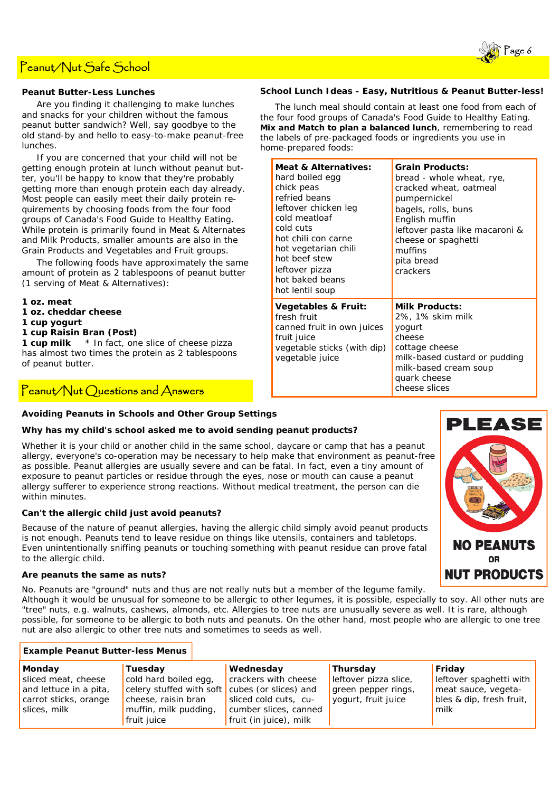# Peanut/Nut Safe School

### **Peanut Butter-Less Lunches**

 Are you finding it challenging to make lunches and snacks for your children without the famous peanut butter sandwich? Well, say goodbye to the old stand-by and hello to easy-to-make peanut-free lunches.

 If you are concerned that your child will not be getting enough protein at lunch without peanut butter, you'll be happy to know that they're probably getting more than enough protein each day already. Most people can easily meet their daily protein requirements by choosing foods from the four food groups of Canada's Food Guide to Healthy Eating. While protein is primarily found in Meat & Alternates and Milk Products, smaller amounts are also in the Grain Products and Vegetables and Fruit groups.

 The following foods have approximately the same amount of protein as 2 tablespoons of peanut butter (1 serving of Meat & Alternatives):

**1 oz. meat** 

- **1 oz. cheddar cheese**
- **1 cup yogurt**
- **1 cup Raisin Bran (Post)**

**1 cup milk** \* *In fact, one slice of cheese pizza has almost two times the protein as 2 tablespoons of peanut butter*.

# $P$ eanut/Nut Questions and Answers

### **School Lunch Ideas - Easy, Nutritious & Peanut Butter-less!**

 The lunch meal should contain at least one food from each of the four food groups of Canada's Food Guide to Healthy Eating. *Mix and Match to plan a balanced lunch*, remembering to read the labels of pre-packaged foods or ingredients you use in home-prepared foods:

| <b>Meat &amp; Alternatives:</b><br>hard boiled egg<br>chick peas<br>refried beans<br>leftover chicken leg<br>cold meatloaf<br>cold cuts<br>hot chili con carne<br>hot vegetarian chili<br>hot beef stew<br>leftover pizza<br>hot baked beans<br>hot lentil soup | <b>Grain Products:</b><br>bread - whole wheat, rye,<br>cracked wheat, oatmeal<br>pumpernickel<br>bagels, rolls, buns<br>English muffin<br>leftover pasta like macaroni &<br>cheese or spaghetti<br>muffins<br>pita bread<br>crackers |
|-----------------------------------------------------------------------------------------------------------------------------------------------------------------------------------------------------------------------------------------------------------------|--------------------------------------------------------------------------------------------------------------------------------------------------------------------------------------------------------------------------------------|
| <b>Vegetables &amp; Fruit:</b><br>fresh fruit<br>canned fruit in own juices<br>fruit juice<br>vegetable sticks (with dip)<br>vegetable juice                                                                                                                    | <b>Milk Products:</b><br>2%, 1% skim milk<br>yogurt<br>cheese<br>cottage cheese<br>milk-based custard or pudding<br>milk-based cream soup<br>quark cheese<br>cheese slices                                                           |

# **Avoiding Peanuts in Schools and Other Group Settings**

### *Why has my child's school asked me to avoid sending peanut products?*

Whether it is your child or another child in the same school, daycare or camp that has a peanut allergy, everyone's co-operation may be necessary to help make that environment as peanut-free as possible. Peanut allergies are usually severe and can be fatal. In fact, even a tiny amount of exposure to peanut particles or residue through the eyes, nose or mouth can cause a peanut allergy sufferer to experience strong reactions. Without medical treatment, the person can die within minutes.

### *Can't the allergic child just avoid peanuts?*

Because of the nature of peanut allergies, having the allergic child simply avoid peanut products is not enough. Peanuts tend to leave residue on things like utensils, containers and tabletops. Even unintentionally sniffing peanuts or touching something with peanut residue can prove fatal to the allergic child.

#### *Are peanuts the same as nuts?*

No. Peanuts are "ground" nuts and thus are not really nuts but a member of the legume family.

Although it would be unusual for someone to be allergic to other legumes, it is possible, especially to soy. All other nuts are "tree" nuts, e.g. walnuts, cashews, almonds, etc. Allergies to tree nuts are unusually severe as well. It is rare, although possible, for someone to be allergic to both nuts and peanuts. On the other hand, most people who are allergic to one tree nut are also allergic to other tree nuts and sometimes to seeds as well.

### **Example Peanut Butter-less Menus**

| <b>Monday</b>          | Tuesday                                        | Wednesday              | <b>Thursday</b>       | Friday                   |
|------------------------|------------------------------------------------|------------------------|-----------------------|--------------------------|
| sliced meat, cheese    | cold hard boiled egg,                          | crackers with cheese   | leftover pizza slice, | leftover spaghetti with  |
| and lettuce in a pita, | celery stuffed with soft cubes (or slices) and |                        | green pepper rings,   | meat sauce, vegeta-      |
| carrot sticks, orange  | cheese, raisin bran                            | sliced cold cuts, cu-  | yogurt, fruit juice   | bles & dip, fresh fruit, |
| slices, milk           | muffin, milk pudding,                          | cumber slices, canned  |                       | milk                     |
|                        | fruit juice                                    | fruit (in juice), milk |                       |                          |